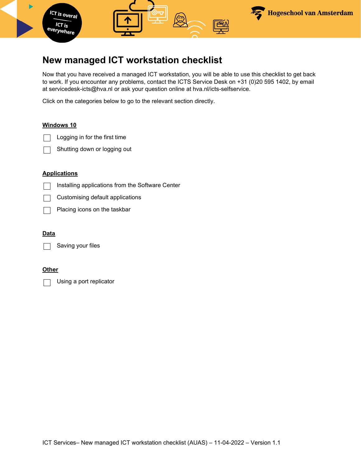

## **New managed ICT workstation checklist**

Now that you have received a managed ICT workstation, you will be able to use this checklist to get back to work. If you encounter any problems, contact the ICTS Service Desk on +31 (0)20 595 1402, by email at servicedesk-icts@hva.nl or ask your question online at hva.nl/icts-selfservice.

Click on the categories below to go to the relevant section directly.

### **[Windows 10](#page-1-0)**

Logging in for the first time



### **[Applications](#page-2-0)**

- Installing applications from the Software Center  $\Box$
- Customising default applications
- Placing icons on the taskbar

### **[Data](#page-3-0)**

Saving your files

#### **[Other](#page-3-1)**

Using a port replicator $\vert \ \ \vert$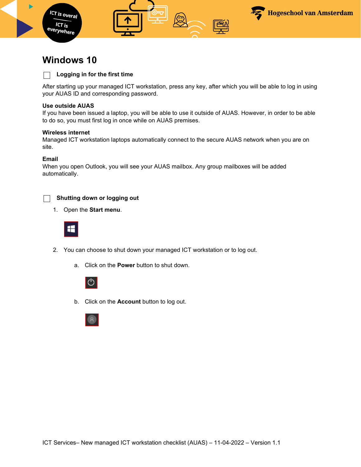

h



## <span id="page-1-0"></span>**Windows 10**

### **Logging in for the first time**

After starting up your managed ICT workstation, press any key, after which you will be able to log in using your AUAS ID and corresponding password.

L3

#### **Use outside AUAS**

If you have been issued a laptop, you will be able to use it outside of AUAS. However, in order to be able to do so, you must first log in once while on AUAS premises.

#### **Wireless internet**

Managed ICT workstation laptops automatically connect to the secure AUAS network when you are on site.

#### **Email**

When you open Outlook, you will see your AUAS mailbox. Any group mailboxes will be added automatically.



#### **Shutting down or logging out**

1. Open the **Start menu**.



- 2. You can choose to shut down your managed ICT workstation or to log out.
	- a. Click on the **Power** button to shut down.



b. Click on the **Account** button to log out.

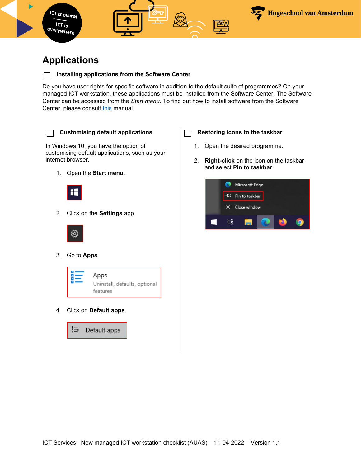

# <span id="page-2-0"></span>**Applications**

## **Installing applications from the Software Center**

Do you have user rights for specific software in addition to the default suite of programmes? On your managed ICT workstation, these applications must be installed from the Software Center. The Software Center can be accessed from the *Start menu*. To find out how to install software from the Software Center, please consult [this](https://www.amsterdamuas.com/binaries/content/assets/serviceplein-a-z-lemmas/its-si/ict-werkplek/handleidingen-windows-10/en-4.-w10---hva---installing-software-using-the-software-center.pdf) manual.

 $\mathbf{I}$ 

In Windows 10, you have the option of customising default applications, such as your internet browser.

1. Open the **Start menu**.



2. Click on the **Settings** app.



3. Go to **Apps***.*



4. Click on **Default apps**.

這 Default apps



- 1. Open the desired programme.
- 2. **Right-click** on the icon on the taskbar